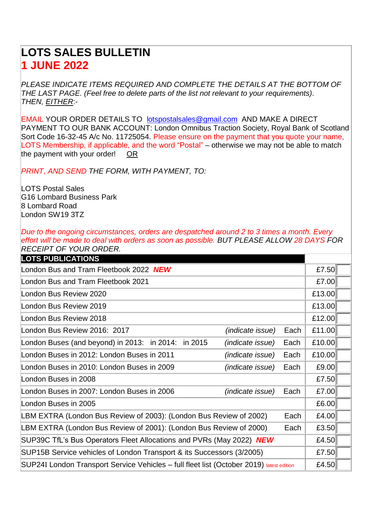## **LOTS SALES BULLETIN 1 JUNE 2022**

*PLEASE INDICATE ITEMS REQUIRED AND COMPLETE THE DETAILS AT THE BOTTOM OF THE LAST PAGE. (Feel free to delete parts of the list not relevant to your requirements). THEN, EITHER*:-

EMAIL YOUR ORDER DETAILS TO [lotspostalsales@gmail.com](mailto:lotspostalsales@gmail.com) AND MAKE A DIRECT PAYMENT TO OUR BANK ACCOUNT: London Omnibus Traction Society, Royal Bank of Scotland Sort Code 16-32-45 A/c No. 11725054. Please ensure on the payment that you quote your name, LOTS Membership, if applicable, and the word "Postal" – otherwise we may not be able to match the payment with your order! OR

*PRINT, AND SEND THE FORM, WITH PAYMENT, TO:*

LOTS Postal Sales G16 Lombard Business Park 8 Lombard Road London SW19 3TZ

*Due to the ongoing circumstances, orders are despatched around 2 to 3 times a month. Every effort will be made to deal with orders as soon as possible. BUT PLEASE ALLOW 28 DAYS FOR RECEIPT OF YOUR ORDER.*

| <b>LOTS PUBLICATIONS</b>                                                                 |                         |       |        |  |
|------------------------------------------------------------------------------------------|-------------------------|-------|--------|--|
| London Bus and Tram Fleetbook 2022 NEW                                                   |                         |       | £7.50  |  |
| London Bus and Tram Fleetbook 2021                                                       |                         |       | £7.00  |  |
| London Bus Review 2020                                                                   |                         |       | £13.00 |  |
| London Bus Review 2019                                                                   |                         |       | £13.00 |  |
| London Bus Review 2018                                                                   |                         |       | £12.00 |  |
| London Bus Review 2016: 2017                                                             | <i>(indicate issue)</i> | Each  | £11.00 |  |
| London Buses (and beyond) in 2013: in 2014: in 2015                                      | <i>(indicate issue)</i> | Each  | £10.00 |  |
| London Buses in 2012: London Buses in 2011                                               | (indicate issue)        | Each  | £10.00 |  |
| London Buses in 2010: London Buses in 2009                                               | (indicate issue)        | Each  | £9.00  |  |
| London Buses in 2008                                                                     |                         |       | £7.50  |  |
| London Buses in 2007: London Buses in 2006                                               | <i>(indicate issue)</i> | Each  | £7.00  |  |
| London Buses in 2005                                                                     |                         |       | £6.00  |  |
| LBM EXTRA (London Bus Review of 2003): (London Bus Review of 2002)                       |                         | Each  | £4.00  |  |
| LBM EXTRA (London Bus Review of 2001): (London Bus Review of 2000)                       |                         | Each  | £3.50  |  |
| SUP39C TfL's Bus Operators Fleet Allocations and PVRs (May 2022) NEW                     |                         |       | £4.50  |  |
| SUP15B Service vehicles of London Transport & its Successors (3/2005)                    |                         | £7.50 |        |  |
| SUP24I London Transport Service Vehicles - full fleet list (October 2019) latest edition |                         | £4.50 |        |  |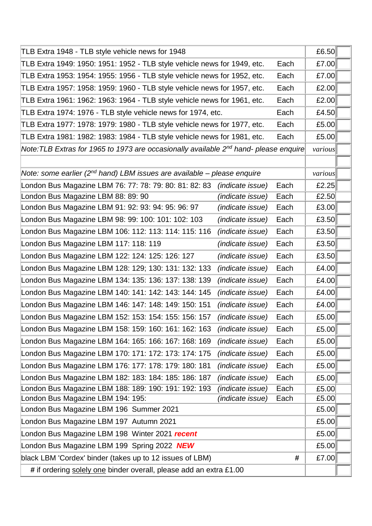| TLB Extra 1948 - TLB style vehicle news for 1948                                                 |                         | £6.50 |         |  |
|--------------------------------------------------------------------------------------------------|-------------------------|-------|---------|--|
| TLB Extra 1949: 1950: 1951: 1952 - TLB style vehicle news for 1949, etc.                         |                         | Each  | £7.00   |  |
| TLB Extra 1953: 1954: 1955: 1956 - TLB style vehicle news for 1952, etc.                         |                         | Each  | £7.00   |  |
| TLB Extra 1957: 1958: 1959: 1960 - TLB style vehicle news for 1957, etc.                         |                         | Each  | £2.00   |  |
| TLB Extra 1961: 1962: 1963: 1964 - TLB style vehicle news for 1961, etc.                         |                         | Each  | £2.00   |  |
| TLB Extra 1974: 1976 - TLB style vehicle news for 1974, etc.                                     |                         | Each  | £4.50   |  |
| TLB Extra 1977: 1978: 1979: 1980 - TLB style vehicle news for 1977, etc.                         |                         | Each  | £5.00   |  |
| TLB Extra 1981: 1982: 1983: 1984 - TLB style vehicle news for 1981, etc.                         |                         | Each  | £5.00   |  |
| Note:TLB Extras for 1965 to 1973 are occasionally available 2 <sup>nd</sup> hand- please enquire |                         |       | various |  |
|                                                                                                  |                         |       |         |  |
| Note: some earlier (2 <sup>nd</sup> hand) LBM issues are available – please enquire              |                         |       | various |  |
| London Bus Magazine LBM 76: 77: 78: 79: 80: 81: 82: 83                                           | (indicate issue)        | Each  | £2.25   |  |
| London Bus Magazine LBM 88: 89: 90                                                               | (indicate issue)        | Each  | £2.50   |  |
| London Bus Magazine LBM 91: 92: 93: 94: 95: 96: 97                                               | <i>(indicate issue)</i> | Each  | £3.00   |  |
| London Bus Magazine LBM 98: 99: 100: 101: 102: 103                                               | (indicate issue)        | Each  | £3.50   |  |
| London Bus Magazine LBM 106: 112: 113: 114: 115: 116                                             | (indicate issue)        | Each  | £3.50   |  |
| London Bus Magazine LBM 117: 118: 119                                                            | (indicate issue)        | Each  | £3.50   |  |
| London Bus Magazine LBM 122: 124: 125: 126: 127                                                  | (indicate issue)        | Each  | £3.50   |  |
| London Bus Magazine LBM 128: 129; 130: 131: 132: 133                                             | <i>(indicate issue)</i> | Each  | £4.00   |  |
| London Bus Magazine LBM 134: 135: 136: 137: 138: 139                                             | (indicate issue)        | Each  | £4.00   |  |
| London Bus Magazine LBM 140: 141: 142: 143: 144: 145                                             | (indicate issue)        | Each  | £4.00   |  |
| London Bus Magazine LBM 146: 147: 148: 149: 150: 151                                             | (indicate issue)        | Each  | £4.00   |  |
| London Bus Magazine LBM 152: 153: 154: 155: 156: 157                                             | (indicate issue)        | Each  | £5.00   |  |
| London Bus Magazine LBM 158: 159: 160: 161: 162: 163                                             | (indicate issue)        | Each  | £5.00   |  |
| London Bus Magazine LBM 164: 165: 166: 167: 168: 169                                             | (indicate issue)        | Each  | £5.00   |  |
| London Bus Magazine LBM 170: 171: 172: 173: 174: 175                                             | (indicate issue)        | Each  | £5.00   |  |
| London Bus Magazine LBM 176: 177: 178: 179: 180: 181                                             | (indicate issue)        | Each  | £5.00   |  |
| London Bus Magazine LBM 182: 183: 184: 185: 186: 187                                             | (indicate issue)        | Each  | £5.00   |  |
| London Bus Magazine LBM 188: 189: 190: 191: 192: 193                                             | (indicate issue)        | Each  | £5.00   |  |
| London Bus Magazine LBM 194: 195:                                                                | (indicate issue)        | Each  | £5.00   |  |
| London Bus Magazine LBM 196 Summer 2021                                                          |                         |       | £5.00   |  |
| London Bus Magazine LBM 197 Autumn 2021                                                          |                         |       | £5.00   |  |
| London Bus Magazine LBM 198 Winter 2021 recent                                                   |                         |       | £5.00   |  |
| London Bus Magazine LBM 199 Spring 2022 NEW                                                      |                         |       | £5.00   |  |
| black LBM 'Cordex' binder (takes up to 12 issues of LBM)                                         |                         | #     | £7.00   |  |
| # if ordering solely one binder overall, please add an extra £1.00                               |                         |       |         |  |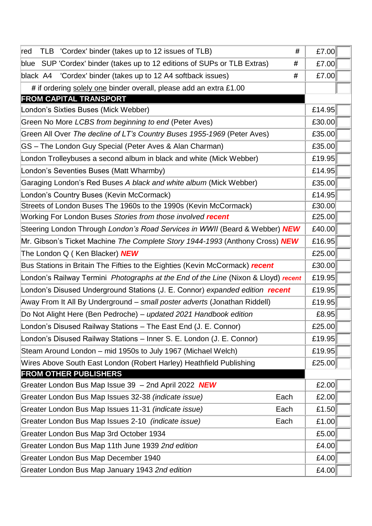| TLB 'Cordex' binder (takes up to 12 issues of TLB)<br>#<br>∣red                                  | £7.00  |
|--------------------------------------------------------------------------------------------------|--------|
| blue SUP 'Cordex' binder (takes up to 12 editions of SUPs or TLB Extras)<br>#                    | £7.00  |
| black A4 'Cordex' binder (takes up to 12 A4 softback issues)<br>#                                | £7.00  |
| # if ordering solely one binder overall, please add an extra £1.00                               |        |
| <b>FROM CAPITAL TRANSPORT</b>                                                                    |        |
| London's Sixties Buses (Mick Webber)                                                             | £14.95 |
| Green No More LCBS from beginning to end (Peter Aves)                                            | £30.00 |
| Green All Over The decline of LT's Country Buses 1955-1969 (Peter Aves)                          | £35.00 |
| GS - The London Guy Special (Peter Aves & Alan Charman)                                          | £35.00 |
| London Trolleybuses a second album in black and white (Mick Webber)                              | £19.95 |
| London's Seventies Buses (Matt Wharmby)                                                          | £14.95 |
| Garaging London's Red Buses A black and white album (Mick Webber)                                | £35.00 |
| London's Country Buses (Kevin McCormack)                                                         | £14.95 |
| Streets of London Buses The 1960s to the 1990s (Kevin McCormack)                                 | £30.00 |
| Working For London Buses Stories from those involved recent                                      | £25.00 |
| Steering London Through London's Road Services in WWII (Beard & Webber) NEW                      | £40.00 |
| Mr. Gibson's Ticket Machine The Complete Story 1944-1993 (Anthony Cross) NEW                     |        |
| The London Q (Ken Blacker) NEW                                                                   |        |
| Bus Stations in Britain The Fifties to the Eighties (Kevin McCormack) recent                     | £30.00 |
| London's Railway Termini <i>Photographs at the End of the Line</i> (Nixon & Lloyd) <i>recent</i> | £19.95 |
| London's Disused Underground Stations (J. E. Connor) expanded edition recent                     | £19.95 |
| Away From It All By Underground - small poster adverts (Jonathan Riddell)                        | £19.95 |
| Do Not Alight Here (Ben Pedroche) - updated 2021 Handbook edition                                | £8.95  |
| London's Disused Railway Stations - The East End (J. E. Connor)                                  | £25.00 |
| London's Disused Railway Stations - Inner S. E. London (J. E. Connor)                            | £19.95 |
| Steam Around London – mid 1950s to July 1967 (Michael Welch)                                     | £19.95 |
| Wires Above South East London (Robert Harley) Heathfield Publishing                              | £25.00 |
| <b>FROM OTHER PUBLISHERS</b>                                                                     |        |
| Greater London Bus Map Issue 39 - 2nd April 2022 NEW                                             | £2.00  |
| Greater London Bus Map Issues 32-38 (indicate issue)<br>Each                                     | £2.00  |
| Greater London Bus Map Issues 11-31 (indicate issue)<br>Each                                     | £1.50  |
| Greater London Bus Map Issues 2-10 <i>(indicate issue)</i><br>Each                               | £1.00  |
| Greater London Bus Map 3rd October 1934                                                          | £5.00  |
| Greater London Bus Map 11th June 1939 2nd edition                                                | £4.00  |
| Greater London Bus Map December 1940                                                             | £4.00  |
| Greater London Bus Map January 1943 2nd edition                                                  | £4.00  |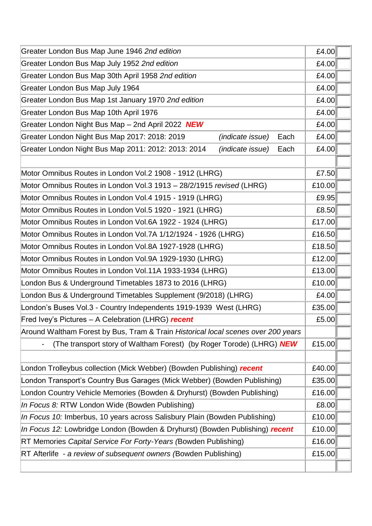| Greater London Bus Map June 1946 2nd edition                                      | £4.00  |        |
|-----------------------------------------------------------------------------------|--------|--------|
| Greater London Bus Map July 1952 2nd edition                                      | £4.00  |        |
| Greater London Bus Map 30th April 1958 2nd edition                                |        |        |
| Greater London Bus Map July 1964                                                  |        |        |
| Greater London Bus Map 1st January 1970 2nd edition                               | £4.00  |        |
| Greater London Bus Map 10th April 1976                                            | £4.00  |        |
| Greater London Night Bus Map - 2nd April 2022 NEW                                 | £4.00  |        |
| Greater London Night Bus Map 2017: 2018: 2019<br>Each<br><i>(indicate issue)</i>  | £4.00  |        |
| Greater London Night Bus Map 2011: 2012: 2013: 2014<br>(indicate issue)<br>Each   | £4.00  |        |
|                                                                                   |        |        |
| Motor Omnibus Routes in London Vol.2 1908 - 1912 (LHRG)                           | £7.50  |        |
| Motor Omnibus Routes in London Vol.3 1913 - 28/2/1915 revised (LHRG)              | £10.00 |        |
| Motor Omnibus Routes in London Vol.4 1915 - 1919 (LHRG)                           |        |        |
| Motor Omnibus Routes in London Vol.5 1920 - 1921 (LHRG)                           | £8.50  |        |
| Motor Omnibus Routes in London Vol.6A 1922 - 1924 (LHRG)                          |        | £17.00 |
| Motor Omnibus Routes in London Vol.7A 1/12/1924 - 1926 (LHRG)                     |        | £16.50 |
| Motor Omnibus Routes in London Vol.8A 1927-1928 (LHRG)                            |        |        |
| Motor Omnibus Routes in London Vol.9A 1929-1930 (LHRG)                            |        | £12.00 |
| Motor Omnibus Routes in London Vol.11A 1933-1934 (LHRG)                           |        | £13.00 |
| London Bus & Underground Timetables 1873 to 2016 (LHRG)                           |        | £10.00 |
| London Bus & Underground Timetables Supplement (9/2018) (LHRG)                    |        |        |
| London's Buses Vol.3 - Country Independents 1919-1939 West (LHRG)                 |        |        |
| Fred Ivey's Pictures - A Celebration (LHRG) recent                                |        |        |
| Around Waltham Forest by Bus, Tram & Train Historical local scenes over 200 years |        |        |
| (The transport story of Waltham Forest) (by Roger Torode) (LHRG) <b>NEW</b>       |        |        |
|                                                                                   |        |        |
| London Trolleybus collection (Mick Webber) (Bowden Publishing) recent             |        |        |
| London Transport's Country Bus Garages (Mick Webber) (Bowden Publishing)          |        |        |
| London Country Vehicle Memories (Bowden & Dryhurst) (Bowden Publishing)           |        |        |
| In Focus 8: RTW London Wide (Bowden Publishing)                                   |        |        |
| In Focus 10: Imberbus, 10 years across Salisbury Plain (Bowden Publishing)        |        | £10.00 |
| In Focus 12: Lowbridge London (Bowden & Dryhurst) (Bowden Publishing) recent      | £10.00 |        |
| RT Memories Capital Service For Forty-Years (Bowden Publishing)                   | £16.00 |        |
| RT Afterlife - a review of subsequent owners (Bowden Publishing)                  |        |        |
|                                                                                   |        |        |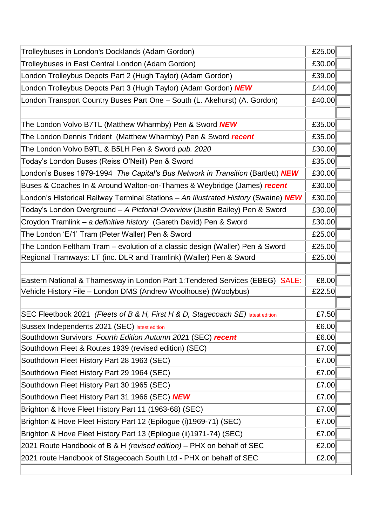| Trolleybuses in London's Docklands (Adam Gordon)                                    | £25.00 |  |
|-------------------------------------------------------------------------------------|--------|--|
| Trolleybuses in East Central London (Adam Gordon)                                   | £30.00 |  |
| London Trolleybus Depots Part 2 (Hugh Taylor) (Adam Gordon)                         | £39.00 |  |
| London Trolleybus Depots Part 3 (Hugh Taylor) (Adam Gordon) NEW                     | £44.00 |  |
| London Transport Country Buses Part One - South (L. Akehurst) (A. Gordon)           | £40.00 |  |
|                                                                                     |        |  |
| The London Volvo B7TL (Matthew Wharmby) Pen & Sword NEW                             | £35.00 |  |
| The London Dennis Trident (Matthew Wharmby) Pen & Sword recent                      | £35.00 |  |
| The London Volvo B9TL & B5LH Pen & Sword pub. 2020                                  | £30.00 |  |
| Today's London Buses (Reiss O'Neill) Pen & Sword                                    | £35.00 |  |
| London's Buses 1979-1994 The Capital's Bus Network in Transition (Bartlett) NEW     | £30.00 |  |
| Buses & Coaches In & Around Walton-on-Thames & Weybridge (James) recent             | £30.00 |  |
| London's Historical Railway Terminal Stations - An Illustrated History (Swaine) NEW | £30.00 |  |
| Today's London Overground - A Pictorial Overview (Justin Bailey) Pen & Sword        | £30.00 |  |
| Croydon Tramlink - a definitive history (Gareth David) Pen & Sword                  | £30.00 |  |
| The London 'E/1' Tram (Peter Waller) Pen & Sword                                    | £25.00 |  |
| The London Feltham Tram - evolution of a classic design (Waller) Pen & Sword        | £25.00 |  |
| Regional Tramways: LT (inc. DLR and Tramlink) (Waller) Pen & Sword                  | £25.00 |  |
|                                                                                     |        |  |
| Eastern National & Thamesway in London Part 1: Tendered Services (EBEG) SALE:       | £8.00  |  |
| Vehicle History File - London DMS (Andrew Woolhouse) (Woolybus)                     | £22.50 |  |
|                                                                                     |        |  |
| SEC Fleetbook 2021 (Fleets of B & H, First H & D, Stagecoach SE) latest edition     | £7.50  |  |
| Sussex Independents 2021 (SEC) latest edition                                       | £6.00  |  |
| Southdown Survivors Fourth Edition Autumn 2021 (SEC) recent                         | £6.00  |  |
| Southdown Fleet & Routes 1939 (revised edition) (SEC)                               | £7.00  |  |
| Southdown Fleet History Part 28 1963 (SEC)                                          | £7.00  |  |
| Southdown Fleet History Part 29 1964 (SEC)                                          | £7.00  |  |
| Southdown Fleet History Part 30 1965 (SEC)                                          | £7.00  |  |
| Southdown Fleet History Part 31 1966 (SEC) NEW                                      | £7.00  |  |
| Brighton & Hove Fleet History Part 11 (1963-68) (SEC)                               | £7.00  |  |
| Brighton & Hove Fleet History Part 12 (Epilogue (i)1969-71) (SEC)                   | £7.00  |  |
| Brighton & Hove Fleet History Part 13 (Epilogue (ii)1971-74) (SEC)                  | £7.00  |  |
| 2021 Route Handbook of B & H (revised edition) - PHX on behalf of SEC               | £2.00  |  |
| 2021 route Handbook of Stagecoach South Ltd - PHX on behalf of SEC                  | £2.00  |  |
|                                                                                     |        |  |